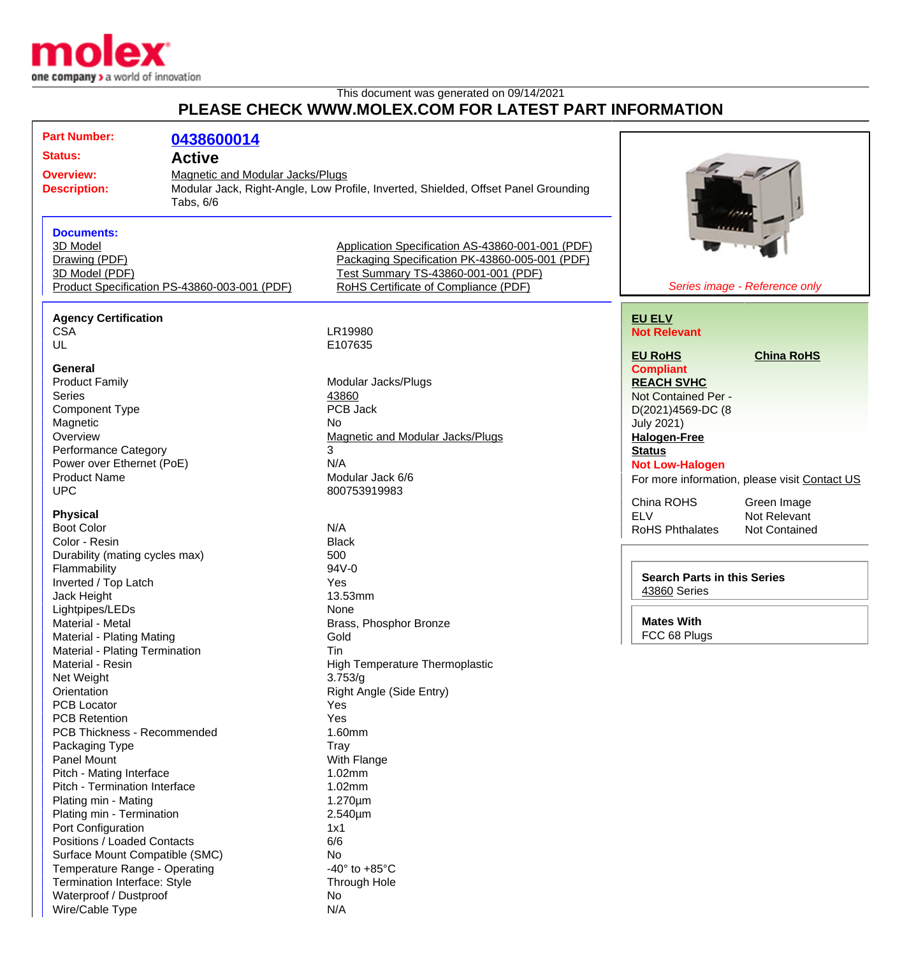

Waterproof / Dustproof No Wire/Cable Type N/A

## This document was generated on 09/14/2021 **PLEASE CHECK WWW.MOLEX.COM FOR LATEST PART INFORMATION**

|                     | <b>Part Number:</b>                        | 0438600014                                   |                                                                                                    |                                               |
|---------------------|--------------------------------------------|----------------------------------------------|----------------------------------------------------------------------------------------------------|-----------------------------------------------|
|                     | <b>Status:</b>                             |                                              |                                                                                                    |                                               |
|                     |                                            | <b>Active</b>                                |                                                                                                    |                                               |
|                     | <b>Overview:</b>                           | Magnetic and Modular Jacks/Plugs             |                                                                                                    |                                               |
| <b>Description:</b> |                                            |                                              | Modular Jack, Right-Angle, Low Profile, Inverted, Shielded, Offset Panel Grounding                 |                                               |
|                     |                                            | Tabs, 6/6                                    |                                                                                                    |                                               |
|                     |                                            |                                              |                                                                                                    |                                               |
|                     | <b>Documents:</b><br>3D Model              |                                              |                                                                                                    |                                               |
|                     | Drawing (PDF)                              |                                              | Application Specification AS-43860-001-001 (PDF)<br>Packaging Specification PK-43860-005-001 (PDF) |                                               |
|                     | 3D Model (PDF)                             |                                              | Test Summary TS-43860-001-001 (PDF)                                                                |                                               |
|                     |                                            | Product Specification PS-43860-003-001 (PDF) | RoHS Certificate of Compliance (PDF)                                                               | Series image - Reference only                 |
|                     |                                            |                                              |                                                                                                    |                                               |
|                     | <b>Agency Certification</b>                |                                              |                                                                                                    | <b>EU ELV</b>                                 |
|                     | <b>CSA</b>                                 |                                              | LR19980                                                                                            | <b>Not Relevant</b>                           |
|                     | UL                                         |                                              | E107635                                                                                            |                                               |
|                     |                                            |                                              |                                                                                                    | <b>EU RoHS</b><br><b>China RoHS</b>           |
|                     | <b>General</b>                             |                                              |                                                                                                    | <b>Compliant</b>                              |
|                     | <b>Product Family</b>                      |                                              | Modular Jacks/Plugs                                                                                | <b>REACH SVHC</b>                             |
|                     | <b>Series</b>                              |                                              | 43860                                                                                              | Not Contained Per -                           |
|                     | Component Type                             |                                              | PCB Jack                                                                                           | D(2021)4569-DC (8                             |
|                     | Magnetic                                   |                                              | No.                                                                                                | <b>July 2021)</b>                             |
|                     | Overview                                   |                                              | <b>Magnetic and Modular Jacks/Plugs</b>                                                            | <b>Halogen-Free</b>                           |
|                     | <b>Performance Category</b>                |                                              | 3                                                                                                  | <b>Status</b>                                 |
|                     | Power over Ethernet (PoE)                  |                                              | N/A                                                                                                | <b>Not Low-Halogen</b>                        |
|                     | <b>Product Name</b>                        |                                              | Modular Jack 6/6                                                                                   | For more information, please visit Contact US |
|                     | <b>UPC</b>                                 |                                              | 800753919983                                                                                       | China ROHS<br>Green Image                     |
|                     | <b>Physical</b>                            |                                              |                                                                                                    | Not Relevant<br><b>ELV</b>                    |
|                     | <b>Boot Color</b>                          |                                              | N/A                                                                                                | <b>RoHS Phthalates</b><br>Not Contained       |
|                     | Color - Resin                              |                                              | <b>Black</b>                                                                                       |                                               |
|                     | Durability (mating cycles max)             |                                              | 500                                                                                                |                                               |
|                     | Flammability                               |                                              | 94V-0                                                                                              |                                               |
|                     | Inverted / Top Latch                       |                                              | Yes                                                                                                | <b>Search Parts in this Series</b>            |
|                     | Jack Height                                |                                              | 13.53mm                                                                                            | 43860 Series                                  |
|                     | Lightpipes/LEDs                            |                                              | None                                                                                               |                                               |
|                     | Material - Metal                           |                                              | Brass, Phosphor Bronze                                                                             | <b>Mates With</b>                             |
|                     | Material - Plating Mating                  |                                              | Gold                                                                                               | FCC 68 Plugs                                  |
|                     | Material - Plating Termination             |                                              | Tin                                                                                                |                                               |
|                     | Material - Resin                           |                                              | <b>High Temperature Thermoplastic</b>                                                              |                                               |
|                     | Net Weight                                 |                                              | 3.753/q                                                                                            |                                               |
|                     | Orientation                                |                                              | Right Angle (Side Entry)                                                                           |                                               |
|                     | <b>PCB Locator</b><br><b>PCB Retention</b> |                                              | Yes<br>Yes                                                                                         |                                               |
|                     | PCB Thickness - Recommended                |                                              | 1.60mm                                                                                             |                                               |
|                     | Packaging Type                             |                                              | Tray                                                                                               |                                               |
|                     | Panel Mount                                |                                              | With Flange                                                                                        |                                               |
|                     | Pitch - Mating Interface                   |                                              | 1.02mm                                                                                             |                                               |
|                     | Pitch - Termination Interface              |                                              | 1.02mm                                                                                             |                                               |
|                     | Plating min - Mating                       |                                              | $1.270 \mu m$                                                                                      |                                               |
|                     | Plating min - Termination                  |                                              | 2.540µm                                                                                            |                                               |
|                     | Port Configuration                         |                                              | 1x1                                                                                                |                                               |
|                     | Positions / Loaded Contacts                |                                              | 6/6                                                                                                |                                               |
|                     | Surface Mount Compatible (SMC)             |                                              | No                                                                                                 |                                               |
|                     | Temperature Range - Operating              |                                              | -40 $\degree$ to +85 $\degree$ C                                                                   |                                               |
|                     | Termination Interface: Style               |                                              | Through Hole                                                                                       |                                               |
|                     |                                            |                                              |                                                                                                    |                                               |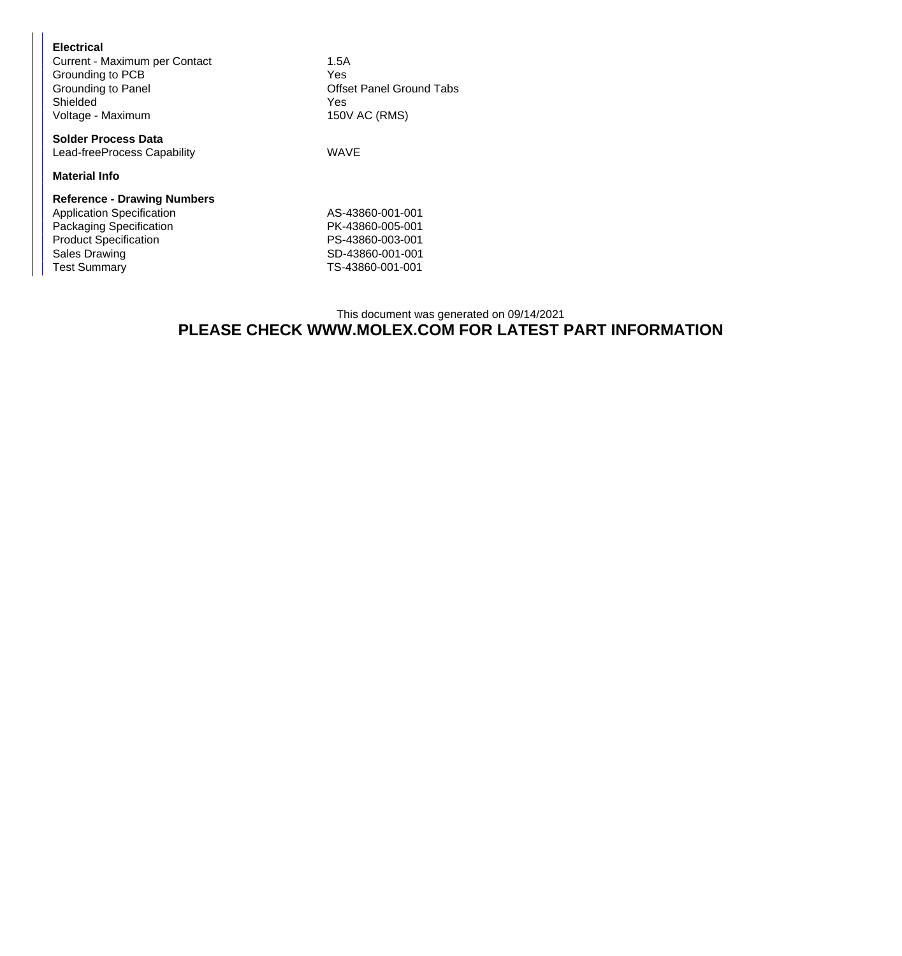| <b>Electrical</b><br>Current - Maximum per Contact<br>Grounding to PCB<br>Grounding to Panel<br>Shielded<br>Voltage - Maximum                                             | 1.5A<br>Yes<br><b>Offset Panel Ground Tabs</b><br>Yes<br>150V AC (RMS)                           |  |
|---------------------------------------------------------------------------------------------------------------------------------------------------------------------------|--------------------------------------------------------------------------------------------------|--|
| <b>Solder Process Data</b><br>Lead-freeProcess Capability                                                                                                                 | <b>WAVE</b>                                                                                      |  |
| <b>Material Info</b>                                                                                                                                                      |                                                                                                  |  |
| <b>Reference - Drawing Numbers</b><br><b>Application Specification</b><br>Packaging Specification<br><b>Product Specification</b><br>Sales Drawing<br><b>Test Summary</b> | AS-43860-001-001<br>PK-43860-005-001<br>PS-43860-003-001<br>SD-43860-001-001<br>TS-43860-001-001 |  |

## This document was generated on 09/14/2021 **PLEASE CHECK WWW.MOLEX.COM FOR LATEST PART INFORMATION**